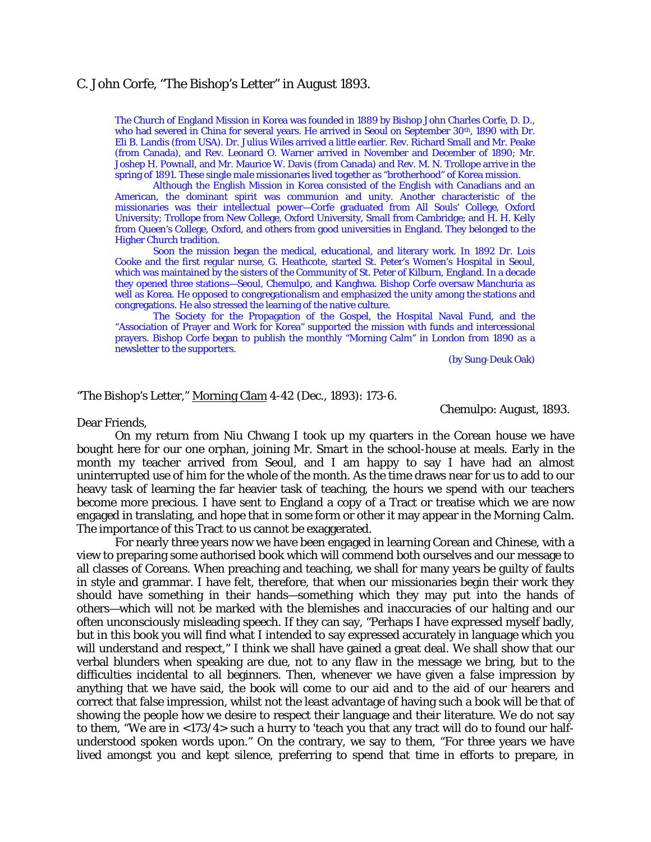## C. John Corfe, "The Bishop's Letter" in August 1893.

The Church of England Mission in Korea was founded in 1889 by Bishop John Charles Corfe, D. D., who had severed in China for several years. He arrived in Seoul on September 30th, 1890 with Dr. Eli B. Landis (from USA). Dr. Julius Wiles arrived a little earlier. Rev. Richard Small and Mr. Peake (from Canada), and Rev. Leonard O. Warner arrived in November and December of 1890; Mr. Joshep H. Pownall, and Mr. Maurice W. Davis (from Canada) and Rev. M. N. Trollope arrive in the spring of 1891. These single male missionaries lived together as "brotherhood" of Korea mission.

 Although the English Mission in Korea consisted of the English with Canadians and an American, the dominant spirit was communion and unity. Another characteristic of the missionaries was their intellectual power—Corfe graduated from All Souls' College, Oxford University; Trollope from New College, Oxford University, Small from Cambridge; and H. H. Kelly from Queen's College, Oxford, and others from good universities in England. They belonged to the Higher Church tradition.

 Soon the mission began the medical, educational, and literary work. In 1892 Dr. Lois Cooke and the first regular nurse, G. Heathcote, started St. Peter's Women's Hospital in Seoul, which was maintained by the sisters of the Community of St. Peter of Kilburn, England. In a decade they opened three stations—Seoul, Chemulpo, and Kanghwa. Bishop Corfe oversaw Manchuria as well as Korea. He opposed to congregationalism and emphasized the unity among the stations and congregations. He also stressed the learning of the native culture.

 The Society for the Propagation of the Gospel, the Hospital Naval Fund, and the "Association of Prayer and Work for Korea" supported the mission with funds and intercessional prayers. Bishop Corfe began to publish the monthly "Morning Calm" in London from 1890 as a newsletter to the supporters.

(by Sung-Deuk Oak)

"The Bishop's Letter," Morning Clam 4-42 (Dec., 1893): 173-6.

Chemulpo: August, 1893.

Dear Friends,

 On my return from Niu Chwang I took up my quarters in the Corean house we have bought here for our one orphan, joining Mr. Smart in the school-house at meals. Early in the month my teacher arrived from Seoul, and I am happy to say I have had an almost uninterrupted use of him for the whole of the month. As the time draws near for us to add to our heavy task of learning the far heavier task of teaching, the hours we spend with our teachers become more precious. I have sent to England a copy of a Tract or treatise which we are now engaged in translating, and hope that in some form or other it may appear in the *Morning Calm*. The importance of this Tract to us cannot be exaggerated.

For nearly three years now we have been engaged in learning Corean and Chinese, with a view to preparing some authorised book which will commend both ourselves and our message to all classes of Coreans. When preaching and teaching, we shall for many years be guilty of faults in style and grammar. I have felt, therefore, that when our missionaries begin their work they should have something in their hands—something which they may put into the hands of others—which will not be marked with the blemishes and inaccuracies of our halting and our often unconsciously misleading speech. If they can say, "Perhaps I have expressed myself badly, but in this book you will find what I intended to say expressed accurately in language which you will understand and respect," I think we shall have gained a great deal. We shall show that our verbal blunders when speaking are due, not to any flaw in the message we bring, but to the difficulties incidental to all beginners. Then, whenever we have given a false impression by anything that we have said, the book will come to our aid and to the aid of our hearers and correct that false impression, whilst not the least advantage of having such a book will be that of showing the people how we desire to respect their language and their literature. We do not say to them, "We are in <173/4> such a hurry to 'teach you that any tract will do to found our halfunderstood spoken words upon." On the contrary, we say to them, "For three years we have lived amongst you and kept silence, preferring to spend that time in efforts to prepare, in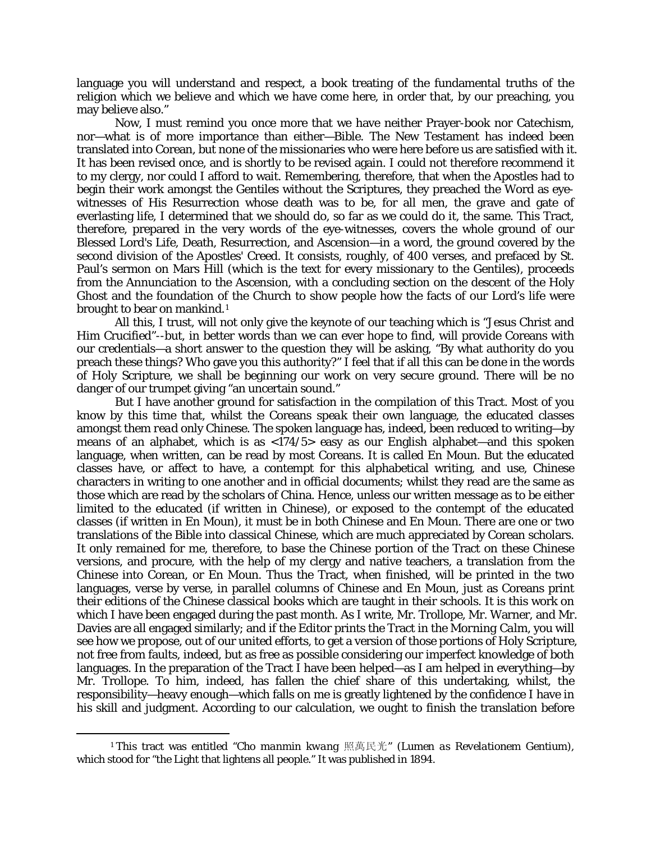language you will understand and respect, a book treating of the fundamental truths of the religion which we believe and which we have come here, in order that, by our preaching, you may believe also."

Now, I must remind you once more that we have neither Prayer-book nor Catechism, nor—what is of more importance than either—Bible. The New Testament has indeed been translated into Corean, but none of the missionaries who were here before us are satisfied with it. It has been revised once, and is shortly to be revised again. I could not therefore recommend it to my clergy, nor could I afford to wait. Remembering, therefore, that when the Apostles had to begin their work amongst the Gentiles without the Scriptures, they preached the Word as eyewitnesses of His Resurrection whose death was to be, for all men, the grave and gate of everlasting life, I determined that we should do, so far as we could do it, the same. This Tract, therefore, prepared in the very words of the eye-witnesses, covers the whole ground of our Blessed Lord's Life, Death, Resurrection, and Ascension—in a word, the ground covered by the second division of the Apostles' Creed. It consists, roughly, of 400 verses, and prefaced by St. Paul's sermon on Mars Hill (which is the text for every missionary to the Gentiles), proceeds from the Annunciation to the Ascension, with a concluding section on the descent of the Holy Ghost and the foundation of the Church to show people how the facts of our Lord's life were brought to bear on mankind.<sup>[1](#page-1-0)</sup>

All this, I trust, will not only give the keynote of our teaching which is "Jesus Christ and Him Crucified"--but, in better words than we can ever hope to find, will provide Coreans with our credentials—a short answer to the question they will be asking, "By what authority do you preach these things? Who gave you this authority?" I feel that if all this can be done in the words of Holy Scripture, we shall be beginning our work on very secure ground. There will be no danger of our trumpet giving "an uncertain sound."

But I have another ground for satisfaction in the compilation of this Tract. Most of you know by this time that, whilst the Coreans *speak* their own language, the educated classes amongst them *read* only Chinese. The spoken language has, indeed, been reduced to writing—by means of an alphabet, which is as  $\langle 174/5 \rangle$  easy as our English alphabet—and this spoken language, when written, can be read by most Coreans. It is called En Moun. But the educated classes have, or affect to have, a contempt for this alphabetical writing, and use, Chinese characters in writing to one another and in official documents; whilst they read are the same as those which are read by the scholars of China. Hence, unless our written message as to be either limited to the educated (if written in Chinese), or exposed to the contempt of the educated classes (if written in En Moun), it must be in both Chinese and En Moun. There are one or two translations of the Bible into classical Chinese, which are much appreciated by Corean scholars. It only remained for me, therefore, to base the Chinese portion of the Tract on these Chinese versions, and procure, with the help of my clergy and native teachers, a translation from the Chinese into Corean, or En Moun. Thus the Tract, when finished, will be printed in the two languages, verse by verse, in parallel columns of Chinese and En Moun, just as Coreans print their editions of the Chinese classical books which are taught in their schools. It is this work on which I have been engaged during the past month. As I write, Mr. Trollope, Mr. Warner, and Mr. Davies are all engaged similarly; and if the Editor prints the Tract in the *Morning Calm*, you will see how we propose, out of our united efforts, to get a version of those portions of Holy Scripture, not free from faults, indeed, but as free as possible considering our imperfect knowledge of both languages. In the preparation of the Tract I have been helped—as I am helped in everything—by Mr. Trollope. To him, indeed, has fallen the chief share of this undertaking, whilst, the responsibility—heavy enough—which falls on me is greatly lightened by the confidence I have in his skill and judgment. According to our calculation, we ought to finish the translation before

 $\overline{a}$ 

<span id="page-1-0"></span><sup>1</sup> This tract was entitled "*Cho manmin kwang* 照萬民光" (*Lumen as Revelationem Gentium),* which stood for "the Light that lightens all people." It was published in 1894.